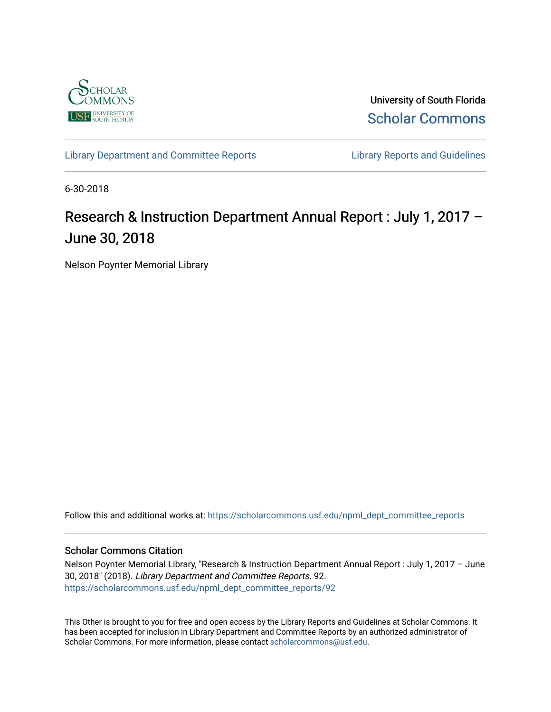

University of South Florida [Scholar Commons](https://scholarcommons.usf.edu/) 

[Library Department and Committee Reports](https://scholarcommons.usf.edu/npml_dept_committee_reports) **Library Reports and Guidelines** 

6-30-2018

# Research & Instruction Department Annual Report : July 1, 2017 – June 30, 2018

Nelson Poynter Memorial Library

Follow this and additional works at: [https://scholarcommons.usf.edu/npml\\_dept\\_committee\\_reports](https://scholarcommons.usf.edu/npml_dept_committee_reports?utm_source=scholarcommons.usf.edu%2Fnpml_dept_committee_reports%2F92&utm_medium=PDF&utm_campaign=PDFCoverPages)

#### Scholar Commons Citation

Nelson Poynter Memorial Library, "Research & Instruction Department Annual Report : July 1, 2017 – June 30, 2018" (2018). Library Department and Committee Reports. 92. [https://scholarcommons.usf.edu/npml\\_dept\\_committee\\_reports/92](https://scholarcommons.usf.edu/npml_dept_committee_reports/92?utm_source=scholarcommons.usf.edu%2Fnpml_dept_committee_reports%2F92&utm_medium=PDF&utm_campaign=PDFCoverPages) 

This Other is brought to you for free and open access by the Library Reports and Guidelines at Scholar Commons. It has been accepted for inclusion in Library Department and Committee Reports by an authorized administrator of Scholar Commons. For more information, please contact [scholarcommons@usf.edu](mailto:scholarcommons@usf.edu).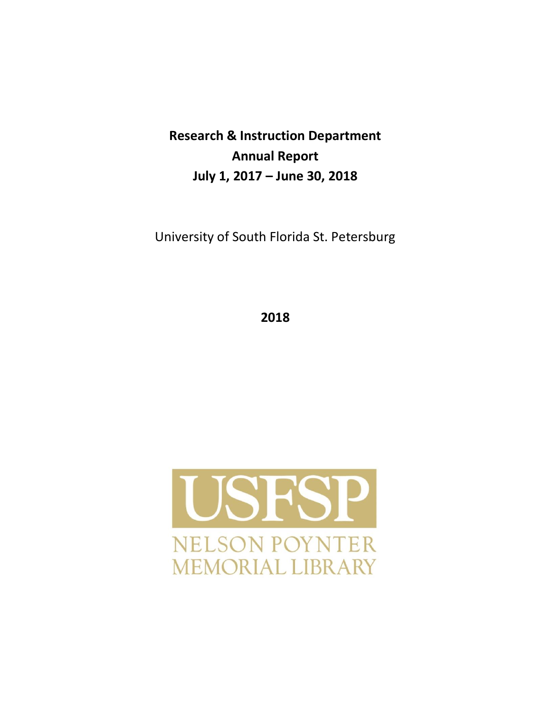**Research & Instruction Department Annual Report July 1, 2017 – June 30, 2018**

University of South Florida St. Petersburg

**2018**

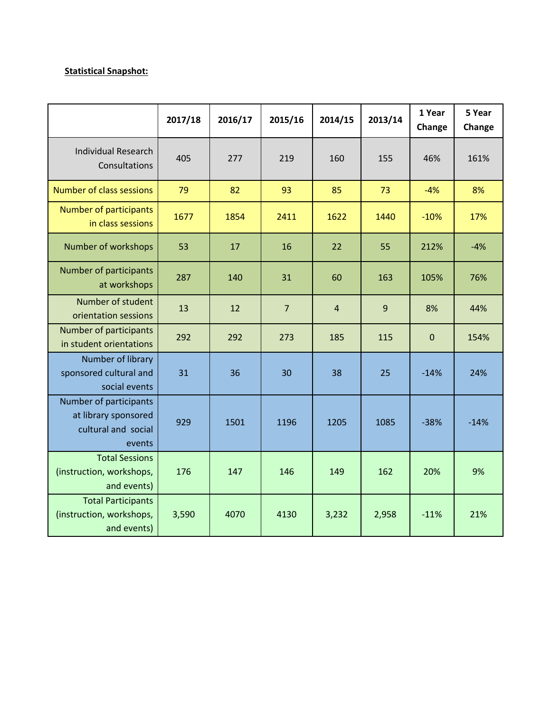## **Statistical Snapshot:**

|                                                                                 | 2017/18 | 2016/17 | 2015/16        | 2014/15        | 2013/14 | 1 Year<br>Change | 5 Year<br>Change |
|---------------------------------------------------------------------------------|---------|---------|----------------|----------------|---------|------------------|------------------|
| <b>Individual Research</b><br>Consultations                                     | 405     | 277     | 219            | 160            | 155     | 46%              | 161%             |
| <b>Number of class sessions</b>                                                 | 79      | 82      | 93             | 85             | 73      | $-4%$            | 8%               |
| <b>Number of participants</b><br>in class sessions                              | 1677    | 1854    | 2411           | 1622           | 1440    | $-10%$           | 17%              |
| Number of workshops                                                             | 53      | 17      | 16             | 22             | 55      | 212%             | $-4%$            |
| Number of participants<br>at workshops                                          | 287     | 140     | 31             | 60             | 163     | 105%             | 76%              |
| Number of student<br>orientation sessions                                       | 13      | 12      | $\overline{7}$ | $\overline{4}$ | 9       | 8%               | 44%              |
| Number of participants<br>in student orientations                               | 292     | 292     | 273            | 185            | 115     | $\mathbf 0$      | 154%             |
| Number of library<br>sponsored cultural and<br>social events                    | 31      | 36      | 30             | 38             | 25      | $-14%$           | 24%              |
| Number of participants<br>at library sponsored<br>cultural and social<br>events | 929     | 1501    | 1196           | 1205           | 1085    | $-38%$           | $-14%$           |
| <b>Total Sessions</b><br>(instruction, workshops,<br>and events)                | 176     | 147     | 146            | 149            | 162     | 20%              | 9%               |
| <b>Total Participants</b><br>(instruction, workshops,<br>and events)            | 3,590   | 4070    | 4130           | 3,232          | 2,958   | $-11%$           | 21%              |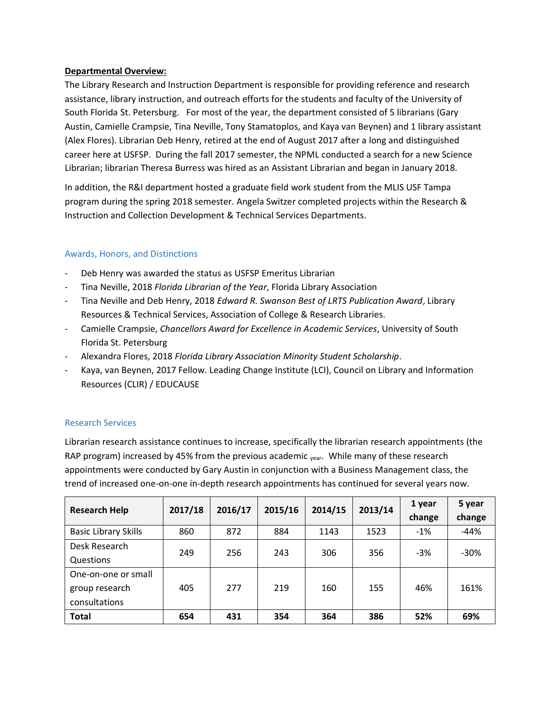#### **Departmental Overview:**

The Library Research and Instruction Department is responsible for providing reference and research assistance, library instruction, and outreach efforts for the students and faculty of the University of South Florida St. Petersburg. For most of the year, the department consisted of 5 librarians (Gary Austin, Camielle Crampsie, Tina Neville, Tony Stamatoplos, and Kaya van Beynen) and 1 library assistant (Alex Flores). Librarian Deb Henry, retired at the end of August 2017 after a long and distinguished career here at USFSP. During the fall 2017 semester, the NPML conducted a search for a new Science Librarian; librarian Theresa Burress was hired as an Assistant Librarian and began in January 2018.

In addition, the R&I department hosted a graduate field work student from the MLIS USF Tampa program during the spring 2018 semester. Angela Switzer completed projects within the Research & Instruction and Collection Development & Technical Services Departments.

## Awards, Honors, and Distinctions

- Deb Henry was awarded the status as USFSP Emeritus Librarian
- Tina Neville, 2018 *Florida Librarian of the Year*, Florida Library Association
- Tina Neville and Deb Henry, 2018 *Edward R. Swanson Best of LRTS Publication Award*, Library Resources & Technical Services, Association of College & Research Libraries.
- Camielle Crampsie, *Chancellors Award for Excellence in Academic Services*, University of South Florida St. Petersburg
- Alexandra Flores, 2018 *Florida Library Association Minority Student Scholarship*.
- Kaya, van Beynen, 2017 Fellow. Leading Change Institute (LCI), Council on Library and Information Resources (CLIR) / EDUCAUSE

## Research Services

Librarian research assistance continues to increase, specifically the librarian research appointments (the RAP program) increased by 45% from the previous academic  $_{\text{year}}$ . While many of these research appointments were conducted by Gary Austin in conjunction with a Business Management class, the trend of increased one-on-one in-depth research appointments has continued for several years now.

| <b>Research Help</b>        | 2017/18 | 2016/17 | 2015/16 | 2014/15 | 2013/14 | 1 year | 5 year |
|-----------------------------|---------|---------|---------|---------|---------|--------|--------|
|                             |         |         |         |         |         | change | change |
| <b>Basic Library Skills</b> | 860     | 872     | 884     | 1143    | 1523    | $-1%$  | $-44%$ |
| Desk Research               | 249     | 256     | 243     | 306     | 356     | $-3%$  | $-30%$ |
| Questions                   |         |         |         |         |         |        |        |
| One-on-one or small         |         |         |         |         |         |        |        |
| group research              | 405     | 277     | 219     | 160     | 155     | 46%    | 161%   |
| consultations               |         |         |         |         |         |        |        |
| <b>Total</b>                | 654     | 431     | 354     | 364     | 386     | 52%    | 69%    |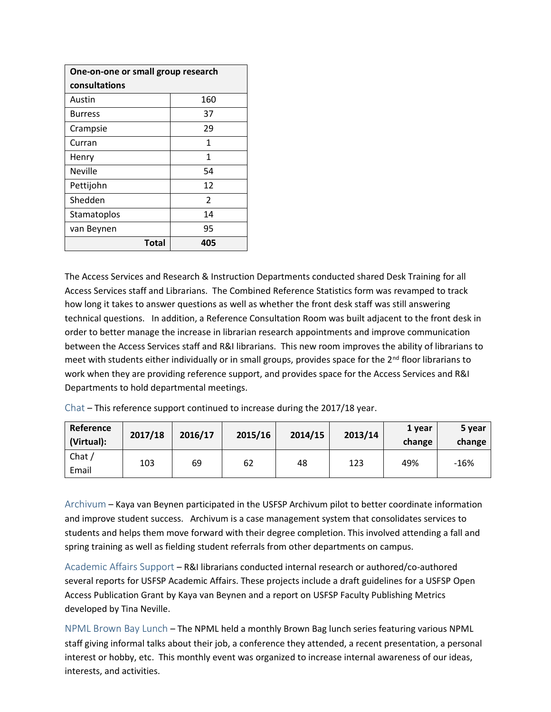| One-on-one or small group research |                |  |  |  |
|------------------------------------|----------------|--|--|--|
| consultations                      |                |  |  |  |
| Austin                             | 160            |  |  |  |
| <b>Burress</b>                     | 37             |  |  |  |
| Crampsie                           | 29             |  |  |  |
| Curran                             | 1              |  |  |  |
| Henry                              | 1              |  |  |  |
| <b>Neville</b>                     | 54             |  |  |  |
| Pettijohn                          | 12             |  |  |  |
| Shedden                            | $\overline{2}$ |  |  |  |
| Stamatoplos                        | 14             |  |  |  |
| van Beynen                         | 95             |  |  |  |
| <b>Total</b>                       | 405            |  |  |  |

The Access Services and Research & Instruction Departments conducted shared Desk Training for all Access Services staff and Librarians. The Combined Reference Statistics form was revamped to track how long it takes to answer questions as well as whether the front desk staff was still answering technical questions. In addition, a Reference Consultation Room was built adjacent to the front desk in order to better manage the increase in librarian research appointments and improve communication between the Access Services staff and R&I librarians. This new room improves the ability of librarians to meet with students either individually or in small groups, provides space for the 2<sup>nd</sup> floor librarians to work when they are providing reference support, and provides space for the Access Services and R&I Departments to hold departmental meetings.

Chat – This reference support continued to increase during the 2017/18 year.

| Reference<br>(Virtual):      | 2017/18 | 2016/17 | 2015/16 | 2014/15 | 2013/14 | 1 year<br>change | 5 year<br>change |
|------------------------------|---------|---------|---------|---------|---------|------------------|------------------|
| Chat $\overline{a}$<br>Email | 103     | 69      | 62      | 48      | 123     | 49%              | $-16%$           |

Archivum – Kaya van Beynen participated in the USFSP Archivum pilot to better coordinate information and improve student success. Archivum is a case management system that consolidates services to students and helps them move forward with their degree completion. This involved attending a fall and spring training as well as fielding student referrals from other departments on campus.

Academic Affairs Support – R&I librarians conducted internal research or authored/co-authored several reports for USFSP Academic Affairs. These projects include a draft guidelines for a USFSP Open Access Publication Grant by Kaya van Beynen and a report on USFSP Faculty Publishing Metrics developed by Tina Neville.

NPML Brown Bay Lunch – The NPML held a monthly Brown Bag lunch series featuring various NPML staff giving informal talks about their job, a conference they attended, a recent presentation, a personal interest or hobby, etc. This monthly event was organized to increase internal awareness of our ideas, interests, and activities.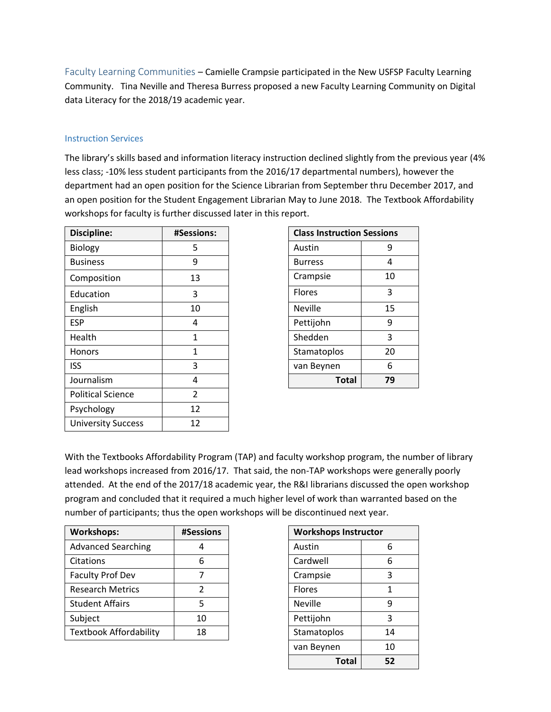Faculty Learning Communities – Camielle Crampsie participated in the New USFSP Faculty Learning Community. Tina Neville and Theresa Burress proposed a new Faculty Learning Community on Digital data Literacy for the 2018/19 academic year.

#### Instruction Services

The library's skills based and information literacy instruction declined slightly from the previous year (4% less class; -10% less student participants from the 2016/17 departmental numbers), however the department had an open position for the Science Librarian from September thru December 2017, and an open position for the Student Engagement Librarian May to June 2018. The Textbook Affordability workshops for faculty is further discussed later in this report.

| <b>Discipline:</b>        | <b>#Sessions:</b> |                | <b>Class Instruction Sessions</b> |                |  |
|---------------------------|-------------------|----------------|-----------------------------------|----------------|--|
| <b>Biology</b>            | 5                 | Austin         |                                   | 9              |  |
| <b>Business</b>           | 9                 | <b>Burress</b> |                                   | 4              |  |
| Composition               | 13                | Crampsie       |                                   | 10             |  |
| Education                 | 3                 | <b>Flores</b>  |                                   |                |  |
| English                   | 10                | <b>Neville</b> |                                   |                |  |
| <b>ESP</b>                | 4                 | Pettijohn      |                                   | 9              |  |
| Health                    | $\mathbf{1}$      | Shedden        |                                   | $\overline{3}$ |  |
| <b>Honors</b>             | 1                 | Stamatoplos    |                                   | 20             |  |
| <b>ISS</b>                | 3                 | van Beynen     |                                   | 6              |  |
| Journalism                | 4                 |                | <b>Total</b>                      | 79             |  |
| <b>Political Science</b>  | $\mathfrak{p}$    |                |                                   |                |  |
| Psychology                | 12                |                |                                   |                |  |
| <b>University Success</b> | 12                |                |                                   |                |  |

| <b>Class Instruction Sessions</b> |    |  |  |  |
|-----------------------------------|----|--|--|--|
| Austin                            | 9  |  |  |  |
| <b>Burress</b>                    | 4  |  |  |  |
| Crampsie                          | 10 |  |  |  |
| <b>Flores</b>                     | 3  |  |  |  |
| Neville                           | 15 |  |  |  |
| Pettijohn                         | 9  |  |  |  |
| Shedden                           | 3  |  |  |  |
| Stamatoplos                       | 20 |  |  |  |
| van Beynen                        | 6  |  |  |  |
| Total                             | 79 |  |  |  |

With the Textbooks Affordability Program (TAP) and faculty workshop program, the number of library lead workshops increased from 2016/17. That said, the non-TAP workshops were generally poorly attended. At the end of the 2017/18 academic year, the R&I librarians discussed the open workshop program and concluded that it required a much higher level of work than warranted based on the number of participants; thus the open workshops will be discontinued next year.

| <b>Workshops:</b>             | #Sessions     |                | <b>Workshops Instructor</b> |  |  |
|-------------------------------|---------------|----------------|-----------------------------|--|--|
| <b>Advanced Searching</b>     |               | Austin         | 6                           |  |  |
| Citations                     | 6             | Cardwell       | 6                           |  |  |
| <b>Faculty Prof Dev</b>       |               | Crampsie       | 3                           |  |  |
| <b>Research Metrics</b>       | $\mathcal{P}$ | <b>Flores</b>  |                             |  |  |
| <b>Student Affairs</b>        |               | <b>Neville</b> | 9                           |  |  |
| Subject                       | 10            | Pettijohn      | 3                           |  |  |
| <b>Textbook Affordability</b> | 18            | Stamatoplos    | 14                          |  |  |
|                               |               |                |                             |  |  |

| <b>Workshops Instructor</b> |    |  |  |  |
|-----------------------------|----|--|--|--|
| Austin                      | 6  |  |  |  |
| Cardwell                    | 6  |  |  |  |
| Crampsie                    | 3  |  |  |  |
| <b>Flores</b>               | 1  |  |  |  |
| Neville                     | ٩  |  |  |  |
| Pettijohn                   | 3  |  |  |  |
| Stamatoplos                 | 14 |  |  |  |
| van Beynen                  | 10 |  |  |  |
| Total                       | 52 |  |  |  |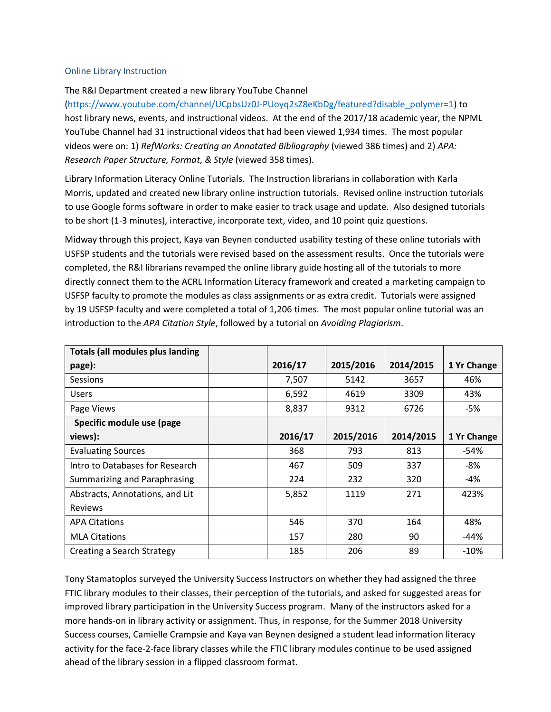#### Online Library Instruction

#### The R&I Department created a new library YouTube Channel

[\(https://www.youtube.com/channel/UCpbsUz0J-PUoyq2sZ8eKbDg/featured?disable\\_polymer=1\)](https://www.youtube.com/channel/UCpbsUz0J-PUoyq2sZ8eKbDg/featured?disable_polymer=1) to host library news, events, and instructional videos. At the end of the 2017/18 academic year, the NPML YouTube Channel had 31 instructional videos that had been viewed 1,934 times. The most popular videos were on: 1) *RefWorks: Creating an Annotated Bibliography* (viewed 386 times) and 2) *APA: Research Paper Structure, Format, & Style* (viewed 358 times).

Library Information Literacy Online Tutorials. The Instruction librarians in collaboration with Karla Morris, updated and created new library online instruction tutorials. Revised online instruction tutorials to use Google forms software in order to make easier to track usage and update. Also designed tutorials to be short (1-3 minutes), interactive, incorporate text, video, and 10 point quiz questions.

Midway through this project, Kaya van Beynen conducted usability testing of these online tutorials with USFSP students and the tutorials were revised based on the assessment results. Once the tutorials were completed, the R&I librarians revamped the online library guide hosting all of the tutorials to more directly connect them to the ACRL Information Literacy framework and created a marketing campaign to USFSP faculty to promote the modules as class assignments or as extra credit. Tutorials were assigned by 19 USFSP faculty and were completed a total of 1,206 times. The most popular online tutorial was an introduction to the *APA Citation Style*, followed by a tutorial on *Avoiding Plagiarism*.

| <b>Totals (all modules plus landing</b> |         |           |           |             |
|-----------------------------------------|---------|-----------|-----------|-------------|
| page):                                  | 2016/17 | 2015/2016 | 2014/2015 | 1 Yr Change |
| Sessions                                | 7,507   | 5142      | 3657      | 46%         |
| <b>Users</b>                            | 6,592   | 4619      | 3309      | 43%         |
| Page Views                              | 8,837   | 9312      | 6726      | -5%         |
| Specific module use (page               |         |           |           |             |
| views):                                 | 2016/17 | 2015/2016 | 2014/2015 | 1 Yr Change |
| <b>Evaluating Sources</b>               | 368     | 793       | 813       | -54%        |
| Intro to Databases for Research         | 467     | 509       | 337       | -8%         |
| Summarizing and Paraphrasing            | 224     | 232       | 320       | -4%         |
| Abstracts, Annotations, and Lit         | 5,852   | 1119      | 271       | 423%        |
| <b>Reviews</b>                          |         |           |           |             |
| <b>APA Citations</b>                    | 546     | 370       | 164       | 48%         |
| <b>MLA Citations</b>                    | 157     | 280       | 90        | -44%        |
| Creating a Search Strategy              | 185     | 206       | 89        | $-10%$      |

Tony Stamatoplos surveyed the University Success Instructors on whether they had assigned the three FTIC library modules to their classes, their perception of the tutorials, and asked for suggested areas for improved library participation in the University Success program. Many of the instructors asked for a more hands-on in library activity or assignment. Thus, in response, for the Summer 2018 University Success courses, Camielle Crampsie and Kaya van Beynen designed a student lead information literacy activity for the face-2-face library classes while the FTIC library modules continue to be used assigned ahead of the library session in a flipped classroom format.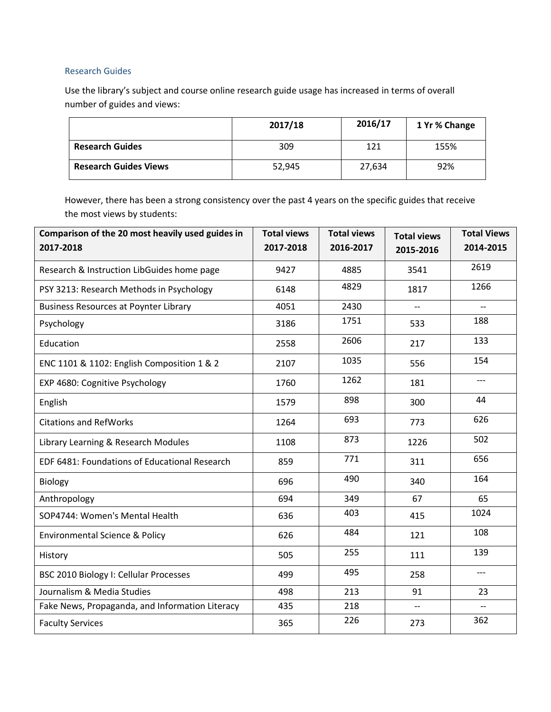## Research Guides

Use the library's subject and course online research guide usage has increased in terms of overall number of guides and views:

|                              | 2017/18 | 2016/17 | 1 Yr % Change |
|------------------------------|---------|---------|---------------|
| <b>Research Guides</b>       | 309     | 121     | 155%          |
| <b>Research Guides Views</b> | 52,945  | 27,634  | 92%           |

However, there has been a strong consistency over the past 4 years on the specific guides that receive the most views by students:

| Comparison of the 20 most heavily used guides in | <b>Total views</b> | <b>Total views</b> | <b>Total views</b> | <b>Total Views</b>       |
|--------------------------------------------------|--------------------|--------------------|--------------------|--------------------------|
| 2017-2018                                        | 2017-2018          | 2016-2017          | 2015-2016          | 2014-2015                |
| Research & Instruction LibGuides home page       | 9427               | 4885               | 3541               | 2619                     |
| PSY 3213: Research Methods in Psychology         | 6148               | 4829               | 1817               | 1266                     |
| <b>Business Resources at Poynter Library</b>     | 4051               | 2430               | $-$                | $-$                      |
| Psychology                                       | 3186               | 1751               | 533                | 188                      |
| Education                                        | 2558               | 2606               | 217                | 133                      |
| ENC 1101 & 1102: English Composition 1 & 2       | 2107               | 1035               | 556                | 154                      |
| EXP 4680: Cognitive Psychology                   | 1760               | 1262               | 181                | ---                      |
| English                                          | 1579               | 898                | 300                | 44                       |
| <b>Citations and RefWorks</b>                    | 1264               | 693                | 773                | 626                      |
| Library Learning & Research Modules              | 1108               | 873                | 1226               | 502                      |
| EDF 6481: Foundations of Educational Research    | 859                | 771                | 311                | 656                      |
| Biology                                          | 696                | 490                | 340                | 164                      |
| Anthropology                                     | 694                | 349                | 67                 | 65                       |
| SOP4744: Women's Mental Health                   | 636                | 403                | 415                | 1024                     |
| <b>Environmental Science &amp; Policy</b>        | 626                | 484                | 121                | 108                      |
| History                                          | 505                | 255                | 111                | 139                      |
| <b>BSC 2010 Biology I: Cellular Processes</b>    | 499                | 495                | 258                | $\overline{\phantom{a}}$ |
| Journalism & Media Studies                       | 498                | 213                | 91                 | 23                       |
| Fake News, Propaganda, and Information Literacy  | 435                | 218                | $-$                | $\overline{\phantom{0}}$ |
| <b>Faculty Services</b>                          | 365                | 226                | 273                | 362                      |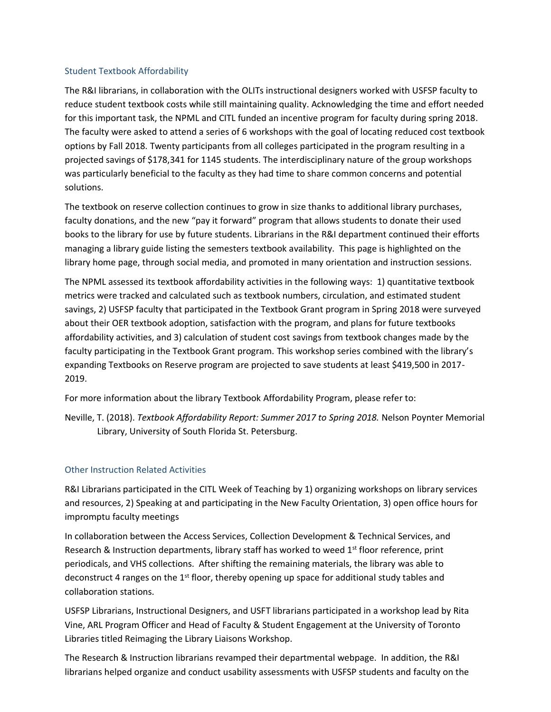#### Student Textbook Affordability

The R&I librarians, in collaboration with the OLITs instructional designers worked with USFSP faculty to reduce student textbook costs while still maintaining quality. Acknowledging the time and effort needed for this important task, the NPML and CITL funded an incentive program for faculty during spring 2018. The faculty were asked to attend a series of 6 workshops with the goal of locating reduced cost textbook options by Fall 2018. Twenty participants from all colleges participated in the program resulting in a projected savings of \$178,341 for 1145 students. The interdisciplinary nature of the group workshops was particularly beneficial to the faculty as they had time to share common concerns and potential solutions.

The textbook on reserve collection continues to grow in size thanks to additional library purchases, faculty donations, and the new "pay it forward" program that allows students to donate their used books to the library for use by future students. Librarians in the R&I department continued their efforts managing a library guide listing the semesters textbook availability. This page is highlighted on the library home page, through social media, and promoted in many orientation and instruction sessions.

The NPML assessed its textbook affordability activities in the following ways: 1) quantitative textbook metrics were tracked and calculated such as textbook numbers, circulation, and estimated student savings, 2) USFSP faculty that participated in the Textbook Grant program in Spring 2018 were surveyed about their OER textbook adoption, satisfaction with the program, and plans for future textbooks affordability activities, and 3) calculation of student cost savings from textbook changes made by the faculty participating in the Textbook Grant program. This workshop series combined with the library's expanding Textbooks on Reserve program are projected to save students at least \$419,500 in 2017- 2019.

For more information about the library Textbook Affordability Program, please refer to:

Neville, T. (2018). *Textbook Affordability Report: Summer 2017 to Spring 2018.* Nelson Poynter Memorial Library, University of South Florida St. Petersburg.

#### Other Instruction Related Activities

R&I Librarians participated in the CITL Week of Teaching by 1) organizing workshops on library services and resources, 2) Speaking at and participating in the New Faculty Orientation, 3) open office hours for impromptu faculty meetings

In collaboration between the Access Services, Collection Development & Technical Services, and Research & Instruction departments, library staff has worked to weed 1<sup>st</sup> floor reference, print periodicals, and VHS collections. After shifting the remaining materials, the library was able to deconstruct 4 ranges on the 1<sup>st</sup> floor, thereby opening up space for additional study tables and collaboration stations.

USFSP Librarians, Instructional Designers, and USFT librarians participated in a workshop lead by Rita Vine, ARL Program Officer and Head of Faculty & Student Engagement at the University of Toronto Libraries titled Reimaging the Library Liaisons Workshop.

The Research & Instruction librarians revamped their departmental webpage. In addition, the R&I librarians helped organize and conduct usability assessments with USFSP students and faculty on the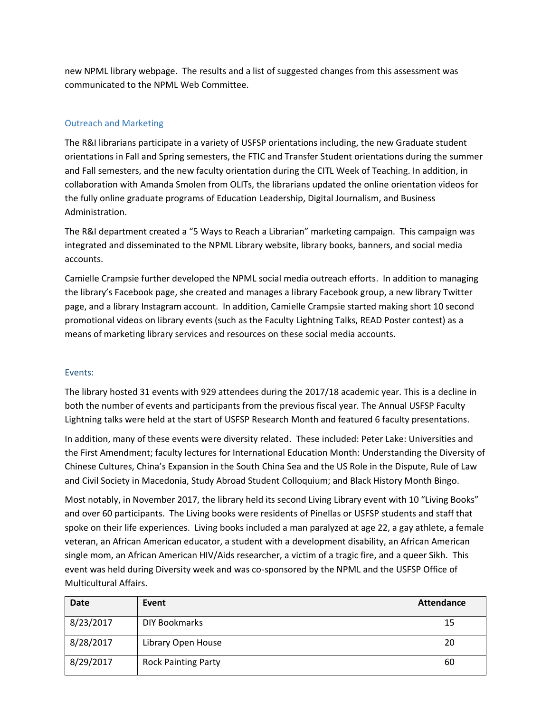new NPML library webpage. The results and a list of suggested changes from this assessment was communicated to the NPML Web Committee.

## Outreach and Marketing

The R&I librarians participate in a variety of USFSP orientations including, the new Graduate student orientations in Fall and Spring semesters, the FTIC and Transfer Student orientations during the summer and Fall semesters, and the new faculty orientation during the CITL Week of Teaching. In addition, in collaboration with Amanda Smolen from OLITs, the librarians updated the online orientation videos for the fully online graduate programs of Education Leadership, Digital Journalism, and Business Administration.

The R&I department created a "5 Ways to Reach a Librarian" marketing campaign. This campaign was integrated and disseminated to the NPML Library website, library books, banners, and social media accounts.

Camielle Crampsie further developed the NPML social media outreach efforts. In addition to managing the library's Facebook page, she created and manages a library Facebook group, a new library Twitter page, and a library Instagram account. In addition, Camielle Crampsie started making short 10 second promotional videos on library events (such as the Faculty Lightning Talks, READ Poster contest) as a means of marketing library services and resources on these social media accounts.

#### Events:

The library hosted 31 events with 929 attendees during the 2017/18 academic year. This is a decline in both the number of events and participants from the previous fiscal year. The Annual USFSP Faculty Lightning talks were held at the start of USFSP Research Month and featured 6 faculty presentations.

In addition, many of these events were diversity related. These included: Peter Lake: Universities and the First Amendment; faculty lectures for International Education Month: Understanding the Diversity of Chinese Cultures, China's Expansion in the South China Sea and the US Role in the Dispute, Rule of Law and Civil Society in Macedonia, Study Abroad Student Colloquium; and Black History Month Bingo.

Most notably, in November 2017, the library held its second Living Library event with 10 "Living Books" and over 60 participants. The Living books were residents of Pinellas or USFSP students and staff that spoke on their life experiences. Living books included a man paralyzed at age 22, a gay athlete, a female veteran, an African American educator, a student with a development disability, an African American single mom, an African American HIV/Aids researcher, a victim of a tragic fire, and a queer Sikh. This event was held during Diversity week and was co-sponsored by the NPML and the USFSP Office of Multicultural Affairs.

| Date      | Event                      | <b>Attendance</b> |
|-----------|----------------------------|-------------------|
| 8/23/2017 | DIY Bookmarks              | 15                |
| 8/28/2017 | Library Open House         | 20                |
| 8/29/2017 | <b>Rock Painting Party</b> | 60                |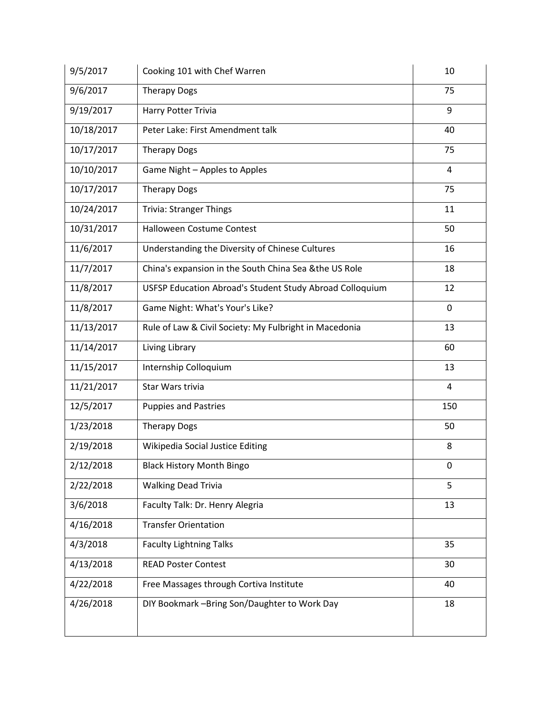| 9/5/2017   | Cooking 101 with Chef Warren                             | 10  |
|------------|----------------------------------------------------------|-----|
| 9/6/2017   | <b>Therapy Dogs</b>                                      | 75  |
| 9/19/2017  | Harry Potter Trivia                                      | 9   |
| 10/18/2017 | Peter Lake: First Amendment talk                         | 40  |
| 10/17/2017 | <b>Therapy Dogs</b>                                      | 75  |
| 10/10/2017 | Game Night - Apples to Apples                            | 4   |
| 10/17/2017 | <b>Therapy Dogs</b>                                      | 75  |
| 10/24/2017 | <b>Trivia: Stranger Things</b>                           | 11  |
| 10/31/2017 | Halloween Costume Contest                                | 50  |
| 11/6/2017  | Understanding the Diversity of Chinese Cultures          | 16  |
| 11/7/2017  | China's expansion in the South China Sea & the US Role   | 18  |
| 11/8/2017  | USFSP Education Abroad's Student Study Abroad Colloquium | 12  |
| 11/8/2017  | Game Night: What's Your's Like?                          | 0   |
| 11/13/2017 | Rule of Law & Civil Society: My Fulbright in Macedonia   | 13  |
| 11/14/2017 | Living Library                                           | 60  |
| 11/15/2017 | Internship Colloquium                                    | 13  |
| 11/21/2017 | Star Wars trivia                                         | 4   |
| 12/5/2017  | <b>Puppies and Pastries</b>                              | 150 |
| 1/23/2018  | <b>Therapy Dogs</b>                                      | 50  |
| 2/19/2018  | Wikipedia Social Justice Editing                         | 8   |
| 2/12/2018  | <b>Black History Month Bingo</b>                         | 0   |
| 2/22/2018  | <b>Walking Dead Trivia</b>                               | 5   |
| 3/6/2018   | Faculty Talk: Dr. Henry Alegria                          | 13  |
| 4/16/2018  | <b>Transfer Orientation</b>                              |     |
| 4/3/2018   | <b>Faculty Lightning Talks</b>                           | 35  |
| 4/13/2018  | <b>READ Poster Contest</b>                               | 30  |
| 4/22/2018  | Free Massages through Cortiva Institute                  | 40  |
| 4/26/2018  | DIY Bookmark -Bring Son/Daughter to Work Day             | 18  |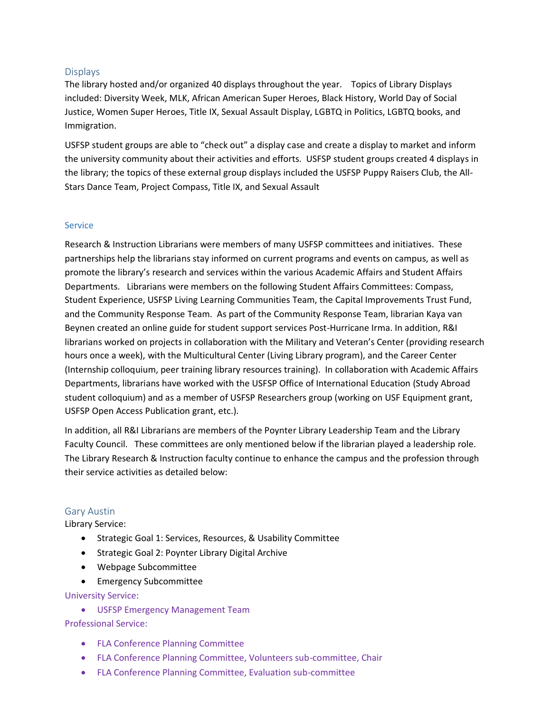## **Displays**

The library hosted and/or organized 40 displays throughout the year. Topics of Library Displays included: Diversity Week, MLK, African American Super Heroes, Black History, World Day of Social Justice, Women Super Heroes, Title IX, Sexual Assault Display, LGBTQ in Politics, LGBTQ books, and Immigration.

USFSP student groups are able to "check out" a display case and create a display to market and inform the university community about their activities and efforts. USFSP student groups created 4 displays in the library; the topics of these external group displays included the USFSP Puppy Raisers Club, the All-Stars Dance Team, Project Compass, Title IX, and Sexual Assault

#### **Service**

Research & Instruction Librarians were members of many USFSP committees and initiatives. These partnerships help the librarians stay informed on current programs and events on campus, as well as promote the library's research and services within the various Academic Affairs and Student Affairs Departments. Librarians were members on the following Student Affairs Committees: Compass, Student Experience, USFSP Living Learning Communities Team, the Capital Improvements Trust Fund, and the Community Response Team. As part of the Community Response Team, librarian Kaya van Beynen created an online guide for student support services Post-Hurricane Irma. In addition, R&I librarians worked on projects in collaboration with the Military and Veteran's Center (providing research hours once a week), with the Multicultural Center (Living Library program), and the Career Center (Internship colloquium, peer training library resources training). In collaboration with Academic Affairs Departments, librarians have worked with the USFSP Office of International Education (Study Abroad student colloquium) and as a member of USFSP Researchers group (working on USF Equipment grant, USFSP Open Access Publication grant, etc.).

In addition, all R&I Librarians are members of the Poynter Library Leadership Team and the Library Faculty Council. These committees are only mentioned below if the librarian played a leadership role. The Library Research & Instruction faculty continue to enhance the campus and the profession through their service activities as detailed below:

#### Gary Austin

Library Service:

- Strategic Goal 1: Services, Resources, & Usability Committee
- Strategic Goal 2: Poynter Library Digital Archive
- Webpage Subcommittee
- Emergency Subcommittee

University Service:

• USFSP Emergency Management Team

Professional Service:

- FLA Conference Planning Committee
- FLA Conference Planning Committee, Volunteers sub-committee, Chair
- FLA Conference Planning Committee, Evaluation sub-committee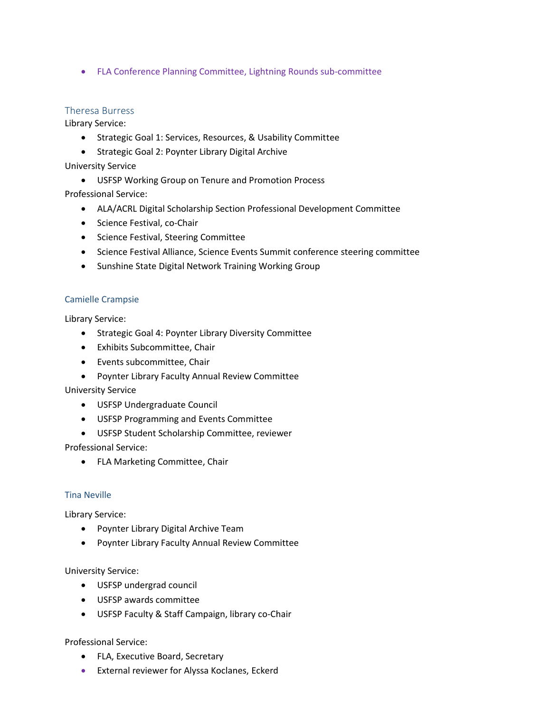• FLA Conference Planning Committee, Lightning Rounds sub-committee

## Theresa Burress

Library Service:

- Strategic Goal 1: Services, Resources, & Usability Committee
- Strategic Goal 2: Poynter Library Digital Archive

University Service

• USFSP Working Group on Tenure and Promotion Process

Professional Service:

- ALA/ACRL Digital Scholarship Section Professional Development Committee
- Science Festival, co-Chair
- Science Festival, Steering Committee
- Science Festival Alliance, Science Events Summit conference steering committee
- Sunshine State Digital Network Training Working Group

#### Camielle Crampsie

Library Service:

- Strategic Goal 4: Poynter Library Diversity Committee
- Exhibits Subcommittee, Chair
- Events subcommittee, Chair
- Poynter Library Faculty Annual Review Committee

University Service

- USFSP Undergraduate Council
- USFSP Programming and Events Committee
- USFSP Student Scholarship Committee, reviewer

Professional Service:

• FLA Marketing Committee, Chair

#### Tina Neville

Library Service:

- Poynter Library Digital Archive Team
- Poynter Library Faculty Annual Review Committee

University Service:

- USFSP undergrad council
- USFSP awards committee
- USFSP Faculty & Staff Campaign, library co-Chair

Professional Service:

- FLA, Executive Board, Secretary
- External reviewer for Alyssa Koclanes, Eckerd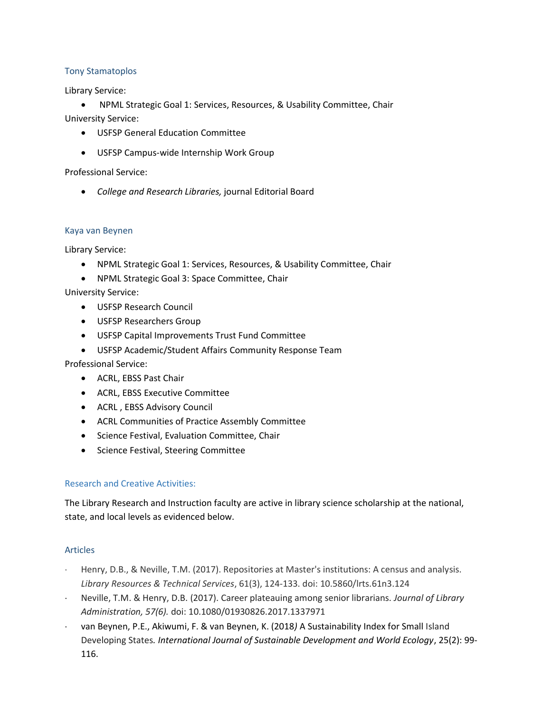## Tony Stamatoplos

Library Service:

• NPML Strategic Goal 1: Services, Resources, & Usability Committee, Chair University Service:

- USFSP General Education Committee
- USFSP Campus-wide Internship Work Group

Professional Service:

• *College and Research Libraries,* journal Editorial Board

#### Kaya van Beynen

Library Service:

- NPML Strategic Goal 1: Services, Resources, & Usability Committee, Chair
- NPML Strategic Goal 3: Space Committee, Chair

University Service:

- USFSP Research Council
- USFSP Researchers Group
- USFSP Capital Improvements Trust Fund Committee
- USFSP Academic/Student Affairs Community Response Team

Professional Service:

- ACRL, EBSS Past Chair
- ACRL, EBSS Executive Committee
- ACRL , EBSS Advisory Council
- ACRL Communities of Practice Assembly Committee
- Science Festival, Evaluation Committee, Chair
- Science Festival, Steering Committee

#### Research and Creative Activities:

The Library Research and Instruction faculty are active in library science scholarship at the national, state, and local levels as evidenced below.

#### Articles

- Henry, D.B., & Neville, T.M. (2017). Repositories at Master's institutions: A census and analysis. *Library Resources & Technical Services*, 61(3), 124-133. doi: 10.5860/lrts.61n3.124
- Neville, T.M. & Henry, D.B. (2017). Career plateauing among senior librarians. *Journal of Library Administration, 57(6).* doi: 10.1080/01930826.2017.1337971
- van Beynen, P.E., Akiwumi, F. & van Beynen, K. (2018*)* A Sustainability Index for Small Island Developing States*. International Journal of Sustainable Development and World Ecology*, 25(2): 99- 116.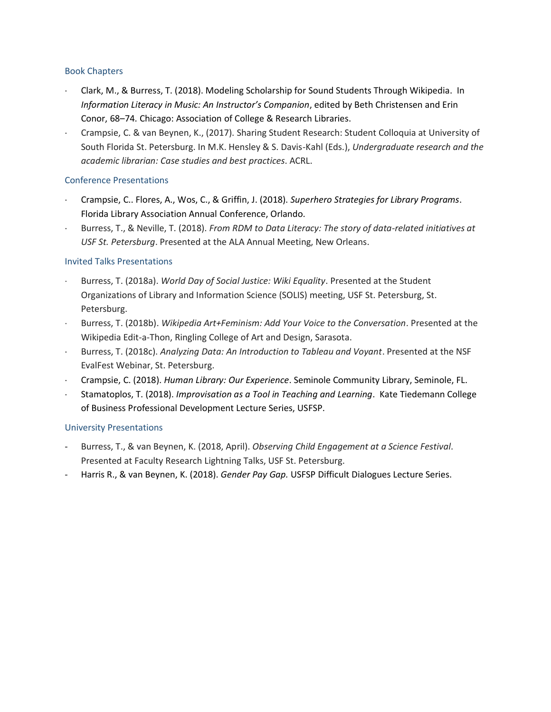#### Book Chapters

- Clark, M., & Burress, T. (2018). Modeling Scholarship for Sound Students Through Wikipedia. In *Information Literacy in Music: An Instructor's Companion*, edited by Beth Christensen and Erin Conor, 68–74. Chicago: Association of College & Research Libraries.
- Crampsie, C. & van Beynen, K., (2017). Sharing Student Research: Student Colloquia at University of South Florida St. Petersburg. In M.K. Hensley & S. Davis-Kahl (Eds.), *Undergraduate research and the academic librarian: Case studies and best practices*. ACRL.

## Conference Presentations

- Crampsie, C.. Flores, A., Wos, C., & Griffin, J. (2018). *Superhero Strategies for Library Programs*. Florida Library Association Annual Conference, Orlando.
- Burress, T., & Neville, T. (2018). *From RDM to Data Literacy: The story of data-related initiatives at USF St. Petersburg*. Presented at the ALA Annual Meeting, New Orleans.

## Invited Talks Presentations

- Burress, T. (2018a). *World Day of Social Justice: Wiki Equality*. Presented at the Student Organizations of Library and Information Science (SOLIS) meeting, USF St. Petersburg, St. Petersburg.
- Burress, T. (2018b). *Wikipedia Art+Feminism: Add Your Voice to the Conversation*. Presented at the Wikipedia Edit-a-Thon, Ringling College of Art and Design, Sarasota.
- Burress, T. (2018c). *Analyzing Data: An Introduction to Tableau and Voyant*. Presented at the NSF EvalFest Webinar, St. Petersburg.
- Crampsie, C. (2018). *Human Library: Our Experience*. Seminole Community Library, Seminole, FL.
- Stamatoplos, T. (2018). *Improvisation as a Tool in Teaching and Learning*. Kate Tiedemann College of Business Professional Development Lecture Series, USFSP.

## University Presentations

- Burress, T., & van Beynen, K. (2018, April). *Observing Child Engagement at a Science Festival*. Presented at Faculty Research Lightning Talks, USF St. Petersburg.
- Harris R., & van Beynen, K. (2018). *Gender Pay Gap.* USFSP Difficult Dialogues Lecture Series.